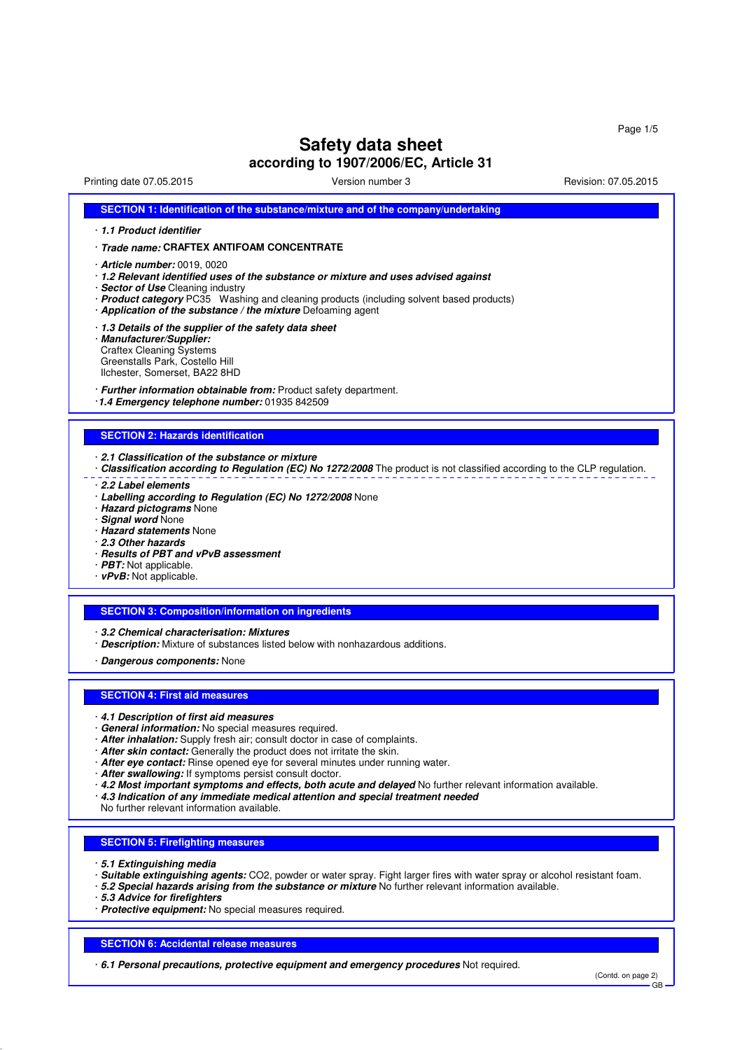# **Safety data sheet**

**according to 1907/2006/EC, Article 31**

| Printing date 07.05.2015                                                                                                                                                                                                                                                                                         | Version number 3                                                                                                                                                                                                                                                                         | Revision: 07.05.2015 |
|------------------------------------------------------------------------------------------------------------------------------------------------------------------------------------------------------------------------------------------------------------------------------------------------------------------|------------------------------------------------------------------------------------------------------------------------------------------------------------------------------------------------------------------------------------------------------------------------------------------|----------------------|
|                                                                                                                                                                                                                                                                                                                  | SECTION 1: Identification of the substance/mixture and of the company/undertaking                                                                                                                                                                                                        |                      |
| 1.1 Product identifier                                                                                                                                                                                                                                                                                           |                                                                                                                                                                                                                                                                                          |                      |
| · Trade name: CRAFTEX ANTIFOAM CONCENTRATE                                                                                                                                                                                                                                                                       |                                                                                                                                                                                                                                                                                          |                      |
| $\cdot$ Article number: 0019, 0020<br>· Sector of Use Cleaning industry<br>· Application of the substance / the mixture Defoaming agent                                                                                                                                                                          | 1.2 Relevant identified uses of the substance or mixture and uses advised against<br>· Product category PC35 Washing and cleaning products (including solvent based products)                                                                                                            |                      |
| 1.3 Details of the supplier of the safety data sheet<br>· Manufacturer/Supplier:<br><b>Craftex Cleaning Systems</b><br>Greenstalls Park, Costello Hill<br>Ilchester, Somerset, BA22 8HD                                                                                                                          |                                                                                                                                                                                                                                                                                          |                      |
| · Further information obtainable from: Product safety department.<br>·1.4 Emergency telephone number: 01935 842509                                                                                                                                                                                               |                                                                                                                                                                                                                                                                                          |                      |
| <b>SECTION 2: Hazards identification</b>                                                                                                                                                                                                                                                                         |                                                                                                                                                                                                                                                                                          |                      |
|                                                                                                                                                                                                                                                                                                                  |                                                                                                                                                                                                                                                                                          |                      |
| 2.1 Classification of the substance or mixture<br>2.2 Label elements                                                                                                                                                                                                                                             | · Classification according to Regulation (EC) No 1272/2008 The product is not classified according to the CLP regulation.                                                                                                                                                                |                      |
| · Labelling according to Regulation (EC) No 1272/2008 None<br>· Hazard pictograms None<br>· Signal word None<br>· Hazard statements None<br>2.3 Other hazards<br>· Results of PBT and vPvB assessment                                                                                                            |                                                                                                                                                                                                                                                                                          |                      |
| · PBT: Not applicable.<br>$\cdot$ vPvB: Not applicable.                                                                                                                                                                                                                                                          |                                                                                                                                                                                                                                                                                          |                      |
| <b>SECTION 3: Composition/information on ingredients</b>                                                                                                                                                                                                                                                         |                                                                                                                                                                                                                                                                                          |                      |
| 3.2 Chemical characterisation: Mixtures                                                                                                                                                                                                                                                                          | Description: Mixture of substances listed below with nonhazardous additions.                                                                                                                                                                                                             |                      |
| · Dangerous components: None                                                                                                                                                                                                                                                                                     |                                                                                                                                                                                                                                                                                          |                      |
| <b>SECTION 4: First aid measures</b>                                                                                                                                                                                                                                                                             |                                                                                                                                                                                                                                                                                          |                      |
| 4.1 Description of first aid measures<br>General information: No special measures required.<br>· After inhalation: Supply fresh air; consult doctor in case of complaints.<br>· After skin contact: Generally the product does not irritate the skin.<br>· After swallowing: If symptoms persist consult doctor. | · After eye contact: Rinse opened eye for several minutes under running water.<br>· 4.2 Most important symptoms and effects, both acute and delayed No further relevant information available.<br>$\cdot$ 4.3 Indication of any immediate medical attention and special treatment needed |                      |
| No further relevant information available.                                                                                                                                                                                                                                                                       |                                                                                                                                                                                                                                                                                          |                      |
| <b>SECTION 5: Firefighting measures</b>                                                                                                                                                                                                                                                                          |                                                                                                                                                                                                                                                                                          |                      |
| ⋅ 5.1 Extinguishing media<br>· 5.3 Advice for firefighters<br>· Protective equipment: No special measures required.                                                                                                                                                                                              | Suitable extinguishing agents: CO2, powder or water spray. Fight larger fires with water spray or alcohol resistant foam.<br>. 5.2 Special hazards arising from the substance or mixture No further relevant information available.                                                      |                      |
|                                                                                                                                                                                                                                                                                                                  |                                                                                                                                                                                                                                                                                          |                      |

## **SECTION 6: Accidental release measures**

· **6.1 Personal precautions, protective equipment and emergency procedures** Not required.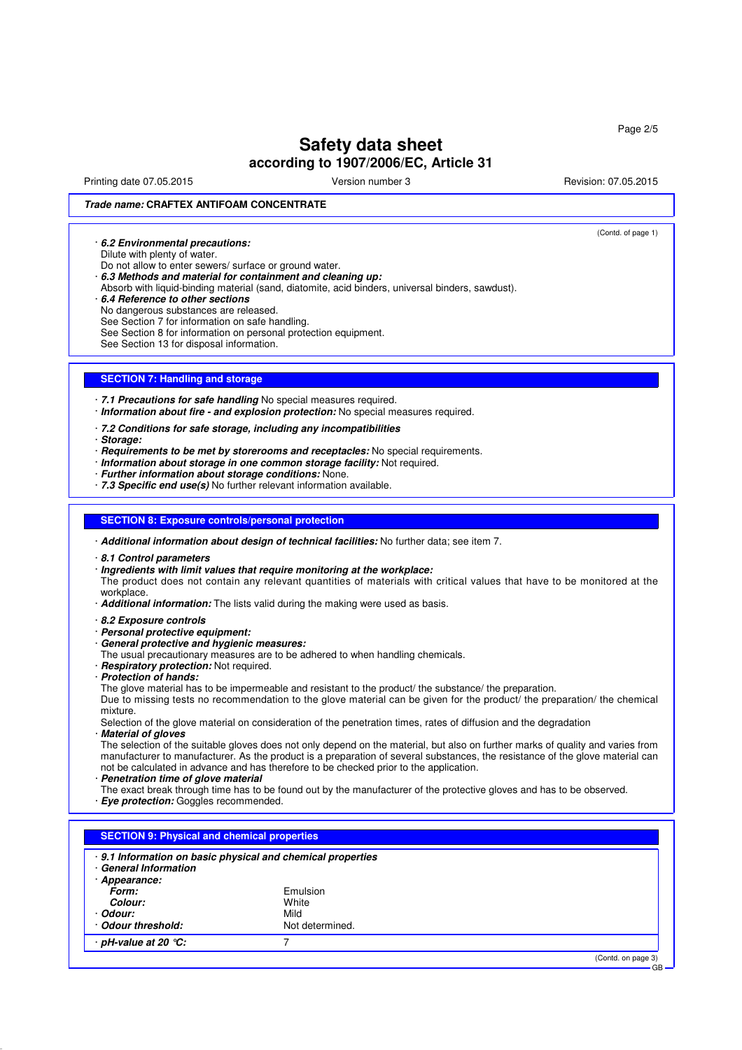Printing date 07.05.2015 **Principal and COVID-100** Version number 3 Revision: 07.05.2015

(Contd. of page 1)

## **Trade name: CRAFTEX ANTIFOAM CONCENTRATE**

· **6.2 Environmental precautions:**

Dilute with plenty of water.

Do not allow to enter sewers/ surface or ground water.

· **6.3 Methods and material for containment and cleaning up:**

Absorb with liquid-binding material (sand, diatomite, acid binders, universal binders, sawdust).

## · **6.4 Reference to other sections**

No dangerous substances are released.

See Section 7 for information on safe handling.

See Section 8 for information on personal protection equipment.

See Section 13 for disposal information.

## **SECTION 7: Handling and storage**

· **7.1 Precautions for safe handling** No special measures required. · **Information about fire - and explosion protection:** No special measures required.

· **7.2 Conditions for safe storage, including any incompatibilities**

· **Storage:**

· **Requirements to be met by storerooms and receptacles:** No special requirements.

- · **Information about storage in one common storage facility:** Not required.
- · **Further information about storage conditions:** None.
- · **7.3 Specific end use(s)** No further relevant information available.

#### **SECTION 8: Exposure controls/personal protection**

· **Additional information about design of technical facilities:** No further data; see item 7.

- · **8.1 Control parameters**
- · **Ingredients with limit values that require monitoring at the workplace:**

The product does not contain any relevant quantities of materials with critical values that have to be monitored at the workplace.

· **Additional information:** The lists valid during the making were used as basis.

· **8.2 Exposure controls**

### · **Personal protective equipment:**

- · **General protective and hygienic measures:**
- The usual precautionary measures are to be adhered to when handling chemicals.
- · **Respiratory protection:** Not required.
- · **Protection of hands:**

The glove material has to be impermeable and resistant to the product/ the substance/ the preparation.

Due to missing tests no recommendation to the glove material can be given for the product/ the preparation/ the chemical mixture.

Selection of the glove material on consideration of the penetration times, rates of diffusion and the degradation · **Material of gloves**

The selection of the suitable gloves does not only depend on the material, but also on further marks of quality and varies from manufacturer to manufacturer. As the product is a preparation of several substances, the resistance of the glove material can not be calculated in advance and has therefore to be checked prior to the application.

· **Penetration time of glove material**

The exact break through time has to be found out by the manufacturer of the protective gloves and has to be observed.

· **Eye protection:** Goggles recommended.

| · General Information | $\cdot$ 9.1 Information on basic physical and chemical properties |  |
|-----------------------|-------------------------------------------------------------------|--|
| · Appearance:         |                                                                   |  |
| Form:                 | Emulsion                                                          |  |
| Colour:               | White                                                             |  |
| · Odour:              | Mild                                                              |  |
| Odour threshold:      | Not determined.                                                   |  |
| · pH-value at 20 ℃:   |                                                                   |  |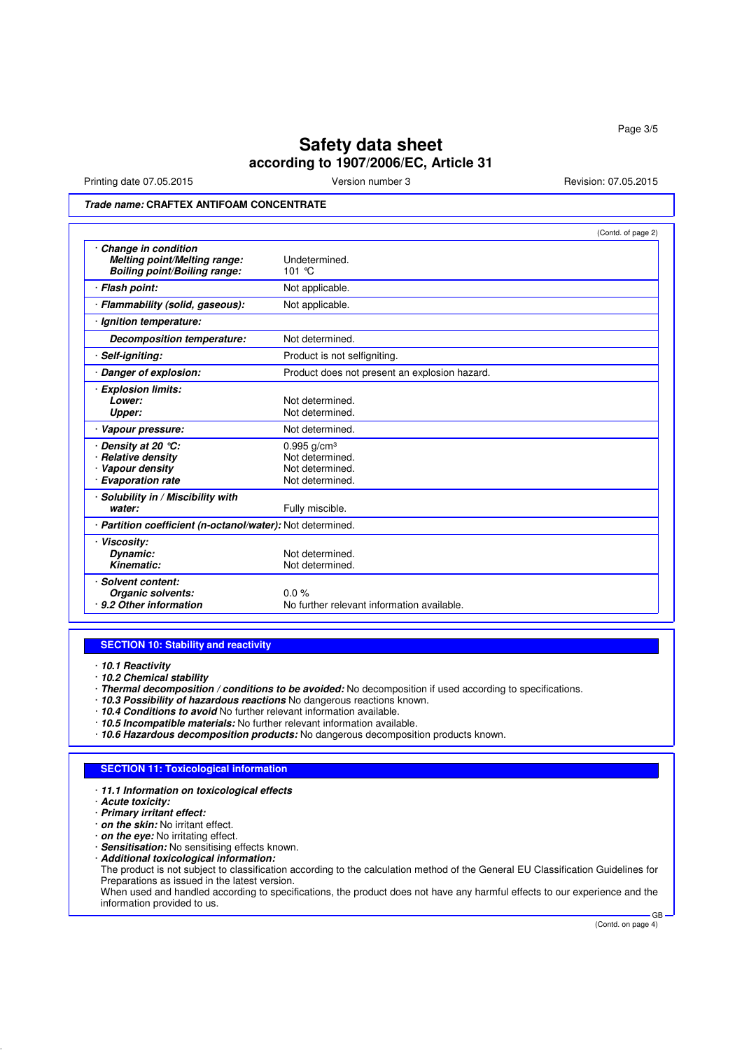Printing date 07.05.2015 Version number 3 Revision: 07.05.2015

## **Trade name: CRAFTEX ANTIFOAM CONCENTRATE**

|                                                                                              | (Contd. of page 2)                                                                 |
|----------------------------------------------------------------------------------------------|------------------------------------------------------------------------------------|
| Change in condition<br>Melting point/Melting range:<br><b>Boiling point/Boiling range:</b>   | Undetermined.<br>101 $\degree$ C                                                   |
| · Flash point:                                                                               | Not applicable.                                                                    |
| · Flammability (solid, gaseous):                                                             | Not applicable.                                                                    |
| Ignition temperature:                                                                        |                                                                                    |
| Decomposition temperature:                                                                   | Not determined.                                                                    |
| Self-igniting:                                                                               | Product is not selfigniting.                                                       |
| Danger of explosion:                                                                         | Product does not present an explosion hazard.                                      |
| <b>Explosion limits:</b><br>Lower:<br>Upper:                                                 | Not determined.<br>Not determined.                                                 |
| Vapour pressure:                                                                             | Not determined.                                                                    |
| Density at 20 $°C$ :<br><b>Relative density</b><br>Vapour density<br><b>Evaporation rate</b> | $0.995$ g/cm <sup>3</sup><br>Not determined.<br>Not determined.<br>Not determined. |
| Solubility in / Miscibility with<br>water:                                                   | Fully miscible.                                                                    |
| · Partition coefficient (n-octanol/water): Not determined.                                   |                                                                                    |
| <b>Viscosity:</b><br>Dynamic:<br>Kinematic:                                                  | Not determined.<br>Not determined.                                                 |
| Solvent content:<br>Organic solvents:<br>9.2 Other information                               | 0.0%<br>No further relevant information available.                                 |

## **SECTION 10: Stability and reactivity**

· **10.1 Reactivity**

- · **10.2 Chemical stability**
- · **Thermal decomposition / conditions to be avoided:** No decomposition if used according to specifications.
- · **10.3 Possibility of hazardous reactions** No dangerous reactions known.
- · **10.4 Conditions to avoid** No further relevant information available.
- · **10.5 Incompatible materials:** No further relevant information available.
- · **10.6 Hazardous decomposition products:** No dangerous decomposition products known.

### **SECTION 11: Toxicological information**

- · **11.1 Information on toxicological effects**
- · **Acute toxicity:**
- · **Primary irritant effect:**
- · **on the skin:** No irritant effect.
- · **on the eye:** No irritating effect.
- · **Sensitisation:** No sensitising effects known.
- · **Additional toxicological information:**

The product is not subject to classification according to the calculation method of the General EU Classification Guidelines for Preparations as issued in the latest version.

When used and handled according to specifications, the product does not have any harmful effects to our experience and the information provided to us. GB

(Contd. on page 4)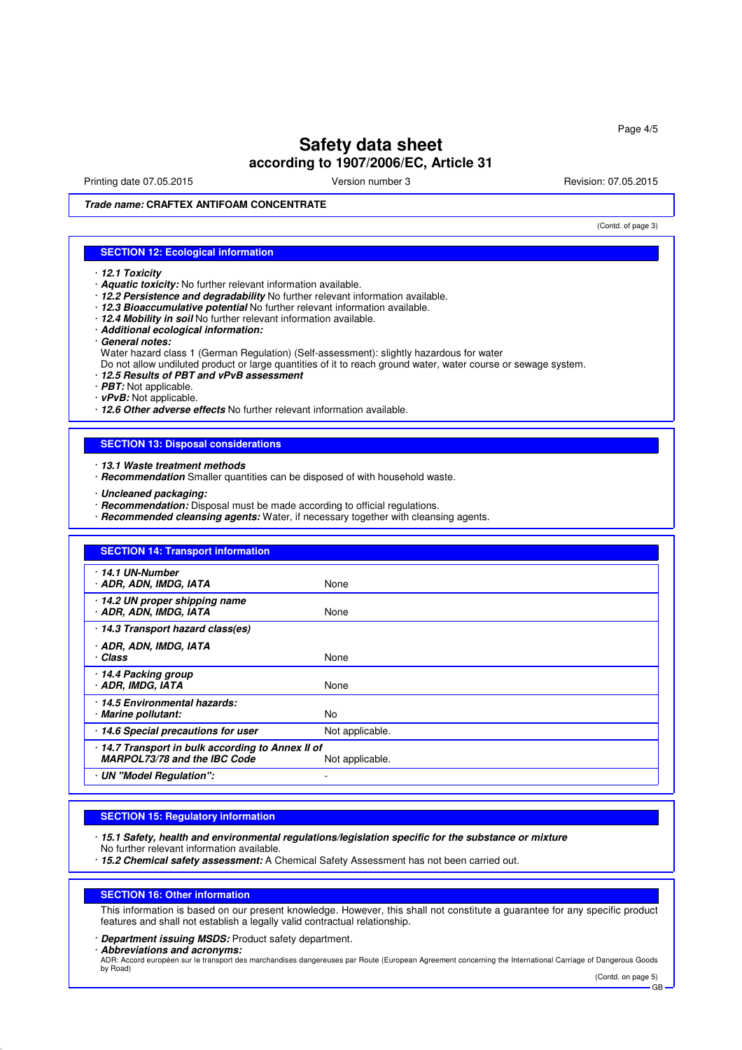Printing date 07.05.2015 **Principal and COVID-100** Version number 3 Revision: 07.05.2015

(Contd. of page 3)

**Trade name: CRAFTEX ANTIFOAM CONCENTRATE**

## **SECTION 12: Ecological information**

- · **12.1 Toxicity**
- · **Aquatic toxicity:** No further relevant information available.
- · **12.2 Persistence and degradability** No further relevant information available.
- · **12.3 Bioaccumulative potential** No further relevant information available.
- · **12.4 Mobility in soil** No further relevant information available.
- · **Additional ecological information:**
- · **General notes:**
- Water hazard class 1 (German Regulation) (Self-assessment): slightly hazardous for water

Do not allow undiluted product or large quantities of it to reach ground water, water course or sewage system.

- · **12.5 Results of PBT and vPvB assessment**
- · **PBT:** Not applicable.
- · **vPvB:** Not applicable.

· **12.6 Other adverse effects** No further relevant information available.

## **SECTION 13: Disposal considerations**

- · **13.1 Waste treatment methods**
- · **Recommendation** Smaller quantities can be disposed of with household waste.
- · **Uncleaned packaging:**
- · **Recommendation:** Disposal must be made according to official regulations.
- · **Recommended cleansing agents:** Water, if necessary together with cleansing agents.

| <b>SECTION 14: Transport information</b>                                        |                 |
|---------------------------------------------------------------------------------|-----------------|
| 14.1 UN-Number<br>· ADR, ADN, IMDG, IATA                                        | None            |
| 14.2 UN proper shipping name<br>· ADR, ADN, IMDG, IATA                          | None            |
| 14.3 Transport hazard class(es)                                                 |                 |
| · ADR, ADN, IMDG, IATA<br>· Class                                               | None            |
| 14.4 Packing group<br>· ADR, IMDG, IATA                                         | None            |
| 14.5 Environmental hazards:<br>· Marine pollutant:                              | No              |
| 14.6 Special precautions for user                                               | Not applicable. |
| 14.7 Transport in bulk according to Annex II of<br>MARPOL73/78 and the IBC Code | Not applicable. |
| · UN "Model Regulation":                                                        |                 |

## **SECTION 15: Regulatory information**

- · **15.1 Safety, health and environmental regulations/legislation specific for the substance or mixture** No further relevant information available.
- · **15.2 Chemical safety assessment:** A Chemical Safety Assessment has not been carried out.

#### **SECTION 16: Other information**

This information is based on our present knowledge. However, this shall not constitute a guarantee for any specific product features and shall not establish a legally valid contractual relationship.

· **Department issuing MSDS:** Product safety department.

· **Abbreviations and acronyms:**

ADR: Accord européen sur le transport des marchandises dangereuses par Route (European Agreement concerning the International Carriage of Dangerous Goods by Road) (Contd. on page 5)